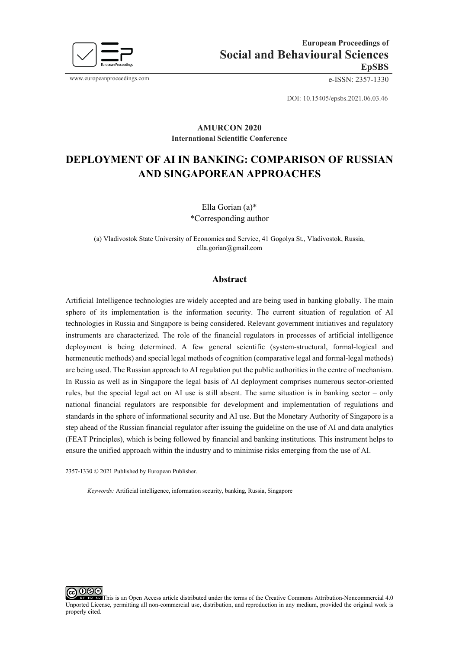

www.europeanproceedings.com e-ISSN: 2357-1330

DOI: 10.15405/epsbs.2021.06.03.46

#### **AMURCON 2020 International Scientific Conference**

# **DEPLOYMENT OF AI IN BANKING: COMPARISON OF RUSSIAN AND SINGAPOREAN APPROACHES**

Ella Gorian (a)\* \*Corresponding author

(a) Vladivostok State University of Economics and Service, 41 Gogolya St., Vladivostok, Russia, [ella.gorian@gmail.com](mailto:ella.gorian@gmail.com) 

#### **Abstract**

Artificial Intelligence technologies are widely accepted and are being used in banking globally. The main sphere of its implementation is the information security. The current situation of regulation of AI technologies in Russia and Singapore is being considered. Relevant government initiatives and regulatory instruments are characterized. The role of the financial regulators in processes of artificial intelligence deployment is being determined. A few general scientific (system-structural, formal-logical and hermeneutic methods) and special legal methods of cognition (comparative legal and formal-legal methods) are being used. The Russian approach to AI regulation put the public authorities in the centre of mechanism. In Russia as well as in Singapore the legal basis of AI deployment comprises numerous sector-oriented rules, but the special legal act on AI use is still absent. The same situation is in banking sector – only national financial regulators are responsible for development and implementation of regulations and standards in the sphere of informational security and AI use. But the Monetary Authority of Singapore is a step ahead of the Russian financial regulator after issuing the guideline on the use of AI and data analytics (FEAT Principles), which is being followed by financial and banking institutions. This instrument helps to ensure the unified approach within the industry and to minimise risks emerging from the use of AI.

2357-1330 © 2021 Published by European Publisher.

*Keywords:* Artificial intelligence, information security, banking, Russia, Singapore

റജഭ This is an Open Access article distributed under the terms of the Creative Commons Attribution-Noncommercial 4.0 Unported License, permitting all non-commercial use, distribution, and reproduction in any medium, provided the original work is properly cited.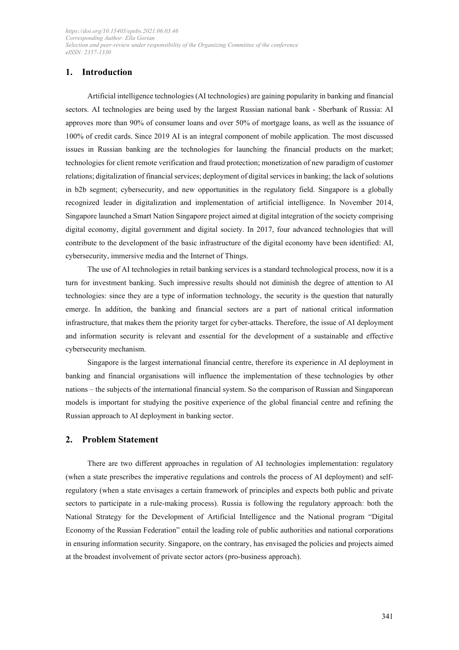# **1. Introduction**

Artificial intelligence technologies (AI technologies) are gaining popularity in banking and financial sectors. AI technologies are being used by the largest Russian national bank - Sberbank of Russia: AI approves more than 90% of consumer loans and over 50% of mortgage loans, as well as the issuance of 100% of credit cards. Since 2019 AI is an integral component of mobile application. The most discussed issues in Russian banking are the technologies for launching the financial products on the market; technologies for client remote verification and fraud protection; monetization of new paradigm of customer relations; digitalization of financial services; deployment of digital services in banking; the lack of solutions in b2b segment; cybersecurity, and new opportunities in the regulatory field. Singapore is a globally recognized leader in digitalization and implementation of artificial intelligence. In November 2014, Singapore launched a Smart Nation Singapore project aimed at digital integration of the society comprising digital economy, digital government and digital society. In 2017, four advanced technologies that will contribute to the development of the basic infrastructure of the digital economy have been identified: AI, cybersecurity, immersive media and the Internet of Things.

The use of AI technologies in retail banking services is a standard technological process, now it is a turn for investment banking. Such impressive results should not diminish the degree of attention to AI technologies: since they are a type of information technology, the security is the question that naturally emerge. In addition, the banking and financial sectors are a part of national critical information infrastructure, that makes them the priority target for cyber-attacks. Therefore, the issue of AI deployment and information security is relevant and essential for the development of a sustainable and effective cybersecurity mechanism.

Singapore is the largest international financial centre, therefore its experience in AI deployment in banking and financial organisations will influence the implementation of these technologies by other nations – the subjects of the international financial system. So the comparison of Russian and Singaporean models is important for studying the positive experience of the global financial centre and refining the Russian approach to AI deployment in banking sector.

#### **2. Problem Statement**

There are two different approaches in regulation of AI technologies implementation: regulatory (when a state prescribes the imperative regulations and controls the process of AI deployment) and selfregulatory (when a state envisages a certain framework of principles and expects both public and private sectors to participate in a rule-making process). Russia is following the regulatory approach: both the National Strategy for the Development of Artificial Intelligence and the National program "Digital Economy of the Russian Federation" entail the leading role of public authorities and national corporations in ensuring information security. Singapore, on the contrary, has envisaged the policies and projects aimed at the broadest involvement of private sector actors (pro-business approach).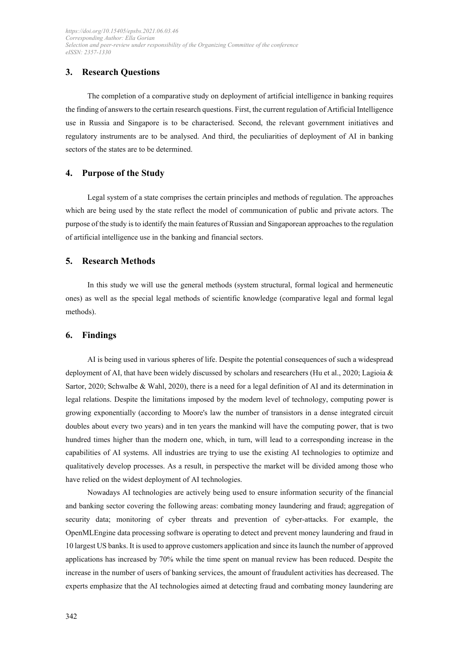# **3. Research Questions**

The completion of a comparative study on deployment of artificial intelligence in banking requires the finding of answers to the certain research questions. First, the current regulation of Artificial Intelligence use in Russia and Singapore is to be characterised. Second, the relevant government initiatives and regulatory instruments are to be analysed. And third, the peculiarities of deployment of AI in banking sectors of the states are to be determined.

### **4. Purpose of the Study**

Legal system of a state comprises the certain principles and methods of regulation. The approaches which are being used by the state reflect the model of communication of public and private actors. The purpose of the study is to identify the main features of Russian and Singaporean approaches to the regulation of artificial intelligence use in the banking and financial sectors.

### **5. Research Methods**

In this study we will use the general methods (system structural, formal logical and hermeneutic ones) as well as the special legal methods of scientific knowledge (comparative legal and formal legal methods).

#### **6. Findings**

AI is being used in various spheres of life. Despite the potential consequences of such a widespread deployment of AI, that have been widely discussed by scholars and researchers (Hu et al., 2020; Lagioia & Sartor, 2020; Schwalbe & Wahl, 2020), there is a need for a legal definition of AI and its determination in legal relations. Despite the limitations imposed by the modern level of technology, computing power is growing exponentially (according to Moore's law the number of transistors in a dense integrated circuit doubles about every two years) and in ten years the mankind will have the computing power, that is two hundred times higher than the modern one, which, in turn, will lead to a corresponding increase in the capabilities of AI systems. All industries are trying to use the existing AI technologies to optimize and qualitatively develop processes. As a result, in perspective the market will be divided among those who have relied on the widest deployment of AI technologies.

Nowadays AI technologies are actively being used to ensure information security of the financial and banking sector covering the following areas: combating money laundering and fraud; aggregation of security data; monitoring of cyber threats and prevention of cyber-attacks. For example, the OpenMLEngine data processing software is operating to detect and prevent money laundering and fraud in 10 largest US banks. It is used to approve customers application and since its launch the number of approved applications has increased by 70% while the time spent on manual review has been reduced. Despite the increase in the number of users of banking services, the amount of fraudulent activities has decreased. The experts emphasize that the AI technologies aimed at detecting fraud and combating money laundering are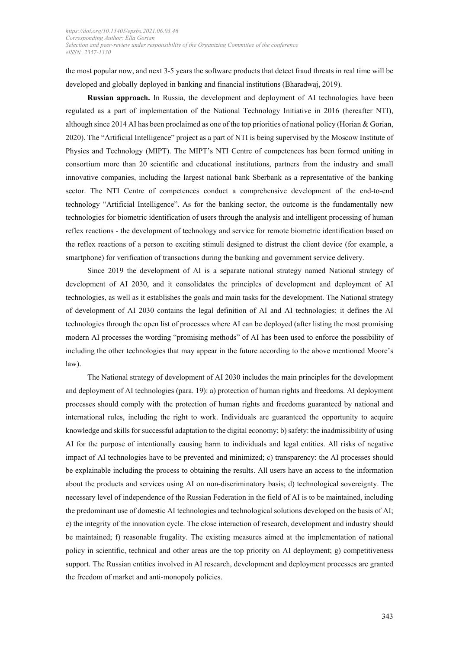the most popular now, and next 3-5 years the software products that detect fraud threats in real time will be developed and globally deployed in banking and financial institutions (Bharadwaj, 2019).

**Russian approach.** In Russia, the development and deployment of AI technologies have been regulated as a part of implementation of the National Technology Initiative in 2016 (hereafter NTI), although since 2014 AI has been proclaimed as one of the top priorities of national policy (Horian & Gorian, 2020). The "Artificial Intelligence" project as a part of NTI is being supervised by the Moscow Institute of Physics and Technology (MIPT). The MIPT's NTI Centre of competences has been formed uniting in consortium more than 20 scientific and educational institutions, partners from the industry and small innovative companies, including the largest national bank Sberbank as a representative of the banking sector. The NTI Centre of competences conduct a comprehensive development of the end-to-end technology "Artificial Intelligence". As for the banking sector, the outcome is the fundamentally new technologies for biometric identification of users through the analysis and intelligent processing of human reflex reactions - the development of technology and service for remote biometric identification based on the reflex reactions of a person to exciting stimuli designed to distrust the client device (for example, a smartphone) for verification of transactions during the banking and government service delivery.

Since 2019 the development of AI is a separate national strategy named National strategy of development of AI 2030, and it consolidates the principles of development and deployment of AI technologies, as well as it establishes the goals and main tasks for the development. The National strategy of development of AI 2030 contains the legal definition of AI and AI technologies: it defines the AI technologies through the open list of processes where AI can be deployed (after listing the most promising modern AI processes the wording "promising methods" of AI has been used to enforce the possibility of including the other technologies that may appear in the future according to the above mentioned Moore's law).

The National strategy of development of AI 2030 includes the main principles for the development and deployment of AI technologies (para. 19): a) protection of human rights and freedoms. AI deployment processes should comply with the protection of human rights and freedoms guaranteed by national and international rules, including the right to work. Individuals are guaranteed the opportunity to acquire knowledge and skills for successful adaptation to the digital economy; b) safety: the inadmissibility of using AI for the purpose of intentionally causing harm to individuals and legal entities. All risks of negative impact of AI technologies have to be prevented and minimized; c) transparency: the AI processes should be explainable including the process to obtaining the results. All users have an access to the information about the products and services using AI on non-discriminatory basis; d) technological sovereignty. The necessary level of independence of the Russian Federation in the field of AI is to be maintained, including the predominant use of domestic AI technologies and technological solutions developed on the basis of AI; e) the integrity of the innovation cycle. The close interaction of research, development and industry should be maintained; f) reasonable frugality. The existing measures aimed at the implementation of national policy in scientific, technical and other areas are the top priority on AI deployment; g) competitiveness support. The Russian entities involved in AI research, development and deployment processes are granted the freedom of market and anti-monopoly policies.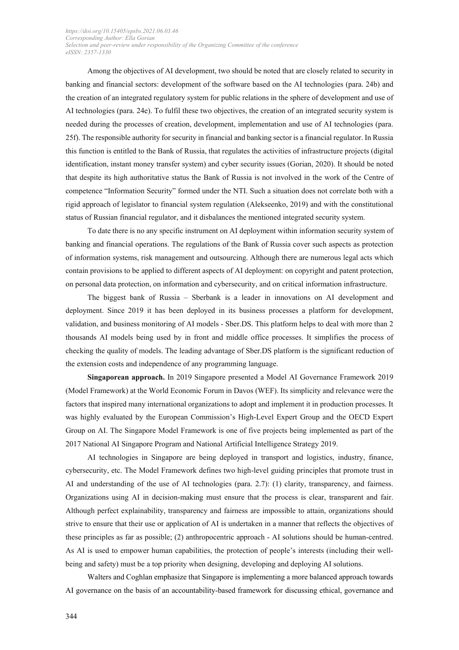Among the objectives of AI development, two should be noted that are closely related to security in banking and financial sectors: development of the software based on the AI technologies (para. 24b) and the creation of an integrated regulatory system for public relations in the sphere of development and use of AI technologies (para. 24e). To fulfil these two objectives, the creation of an integrated security system is needed during the processes of creation, development, implementation and use of AI technologies (para. 25f). The responsible authority for security in financial and banking sector is a financial regulator. In Russia this function is entitled to the Bank of Russia, that regulates the activities of infrastructure projects (digital identification, instant money transfer system) and cyber security issues (Gorian, 2020). It should be noted that despite its high authoritative status the Bank of Russia is not involved in the work of the Centre of competence "Information Security" formed under the NTI. Such a situation does not correlate both with a rigid approach of legislator to financial system regulation (Alekseenko, 2019) and with the constitutional status of Russian financial regulator, and it disbalances the mentioned integrated security system.

To date there is no any specific instrument on AI deployment within information security system of banking and financial operations. The regulations of the Bank of Russia cover such aspects as protection of information systems, risk management and outsourcing. Although there are numerous legal acts which contain provisions to be applied to different aspects of AI deployment: on copyright and patent protection, on personal data protection, on information and cybersecurity, and on critical information infrastructure.

The biggest bank of Russia – Sberbank is a leader in innovations on AI development and deployment. Since 2019 it has been deployed in its business processes a platform for development, validation, and business monitoring of AI models - Sber.DS. This platform helps to deal with more than 2 thousands AI models being used by in front and middle office processes. It simplifies the process of checking the quality of models. The leading advantage of Sber.DS platform is the significant reduction of the extension costs and independence of any programming language.

**Singaporean approach.** In 2019 Singapore presented a Model AI Governance Framework 2019 (Model Framework) at the World Economic Forum in Davos (WEF). Its simplicity and relevance were the factors that inspired many international organizations to adopt and implement it in production processes. It was highly evaluated by the European Commission's High-Level Expert Group and the OECD Expert Group on AI. The Singapore Model Framework is one of five projects being implemented as part of the 2017 National AI Singapore Program and National Artificial Intelligence Strategy 2019.

AI technologies in Singapore are being deployed in transport and logistics, industry, finance, cybersecurity, etc. The Model Framework defines two high-level guiding principles that promote trust in AI and understanding of the use of AI technologies (para. 2.7): (1) clarity, transparency, and fairness. Organizations using AI in decision-making must ensure that the process is clear, transparent and fair. Although perfect explainability, transparency and fairness are impossible to attain, organizations should strive to ensure that their use or application of AI is undertaken in a manner that reflects the objectives of these principles as far as possible; (2) anthropocentric approach - AI solutions should be human-centred. As AI is used to empower human capabilities, the protection of people's interests (including their wellbeing and safety) must be a top priority when designing, developing and deploying AI solutions.

Walters and Coghlan emphasize that Singapore is implementing a more balanced approach towards AI governance on the basis of an accountability-based framework for discussing ethical, governance and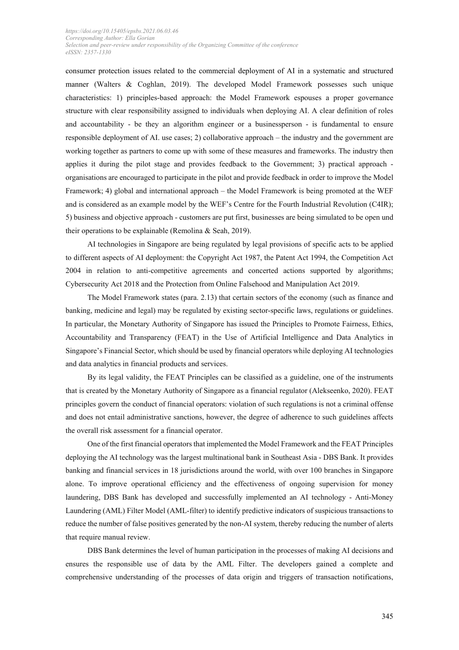consumer protection issues related to the commercial deployment of AI in a systematic and structured manner (Walters & Coghlan, 2019). The developed Model Framework possesses such unique characteristics: 1) principles-based approach: the Model Framework espouses a proper governance structure with clear responsibility assigned to individuals when deploying AI. A clear definition of roles and accountability - be they an algorithm engineer or a businessperson - is fundamental to ensure responsible deployment of AI. use cases; 2) collaborative approach – the industry and the government are working together as partners to come up with some of these measures and frameworks. The industry then applies it during the pilot stage and provides feedback to the Government; 3) practical approach organisations are encouraged to participate in the pilot and provide feedback in order to improve the Model Framework; 4) global and international approach – the Model Framework is being promoted at the WEF and is considered as an example model by the WEF's Centre for the Fourth Industrial Revolution (C4IR); 5) business and objective approach - customers are put first, businesses are being simulated to be open und their operations to be explainable (Remolina & Seah, 2019).

AI technologies in Singapore are being regulated by legal provisions of specific acts to be applied to different aspects of AI deployment: the Copyright Act 1987, the Patent Act 1994, the Competition Act 2004 in relation to anti-competitive agreements and concerted actions supported by algorithms; Cybersecurity Act 2018 and the Protection from Online Falsehood and Manipulation Act 2019.

The Model Framework states (para. 2.13) that certain sectors of the economy (such as finance and banking, medicine and legal) may be regulated by existing sector-specific laws, regulations or guidelines. In particular, the Monetary Authority of Singapore has issued the Principles to Promote Fairness, Ethics, Accountability and Transparency (FEAT) in the Use of Artificial Intelligence and Data Analytics in Singapore's Financial Sector, which should be used by financial operators while deploying AI technologies and data analytics in financial products and services.

By its legal validity, the FEAT Principles can be classified as a guideline, one of the instruments that is created by the Monetary Authority of Singapore as a financial regulator (Alekseenko, 2020). FEAT principles govern the conduct of financial operators: violation of such regulations is not a criminal offense and does not entail administrative sanctions, however, the degree of adherence to such guidelines affects the overall risk assessment for a financial operator.

One of the first financial operators that implemented the Model Framework and the FEAT Principles deploying the AI technology was the largest multinational bank in Southeast Asia - DBS Bank. It provides banking and financial services in 18 jurisdictions around the world, with over 100 branches in Singapore alone. To improve operational efficiency and the effectiveness of ongoing supervision for money laundering, DBS Bank has developed and successfully implemented an AI technology - Anti-Money Laundering (AML) Filter Model (AML-filter) to identify predictive indicators of suspicious transactions to reduce the number of false positives generated by the non-AI system, thereby reducing the number of alerts that require manual review.

DBS Bank determines the level of human participation in the processes of making AI decisions and ensures the responsible use of data by the AML Filter. The developers gained a complete and comprehensive understanding of the processes of data origin and triggers of transaction notifications,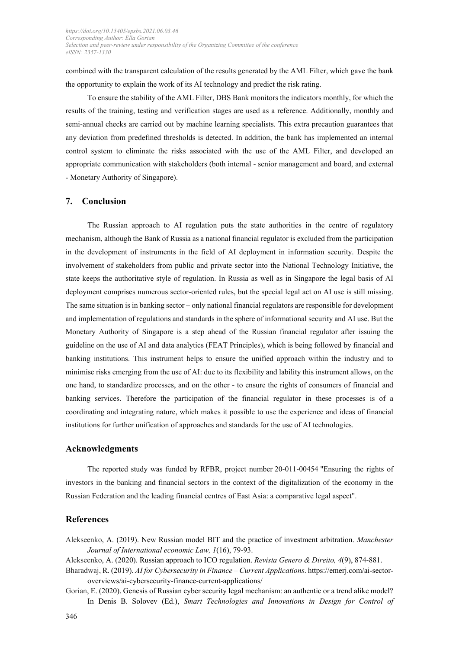combined with the transparent calculation of the results generated by the AML Filter, which gave the bank the opportunity to explain the work of its AI technology and predict the risk rating.

To ensure the stability of the AML Filter, DBS Bank monitors the indicators monthly, for which the results of the training, testing and verification stages are used as a reference. Additionally, monthly and semi-annual checks are carried out by machine learning specialists. This extra precaution guarantees that any deviation from predefined thresholds is detected. In addition, the bank has implemented an internal control system to eliminate the risks associated with the use of the AML Filter, and developed an appropriate communication with stakeholders (both internal - senior management and board, and external - Monetary Authority of Singapore).

## **7. Conclusion**

The Russian approach to AI regulation puts the state authorities in the centre of regulatory mechanism, although the Bank of Russia as a national financial regulator is excluded from the participation in the development of instruments in the field of AI deployment in information security. Despite the involvement of stakeholders from public and private sector into the National Technology Initiative, the state keeps the authoritative style of regulation. In Russia as well as in Singapore the legal basis of AI deployment comprises numerous sector-oriented rules, but the special legal act on AI use is still missing. The same situation is in banking sector – only national financial regulators are responsible for development and implementation of regulations and standards in the sphere of informational security and AI use. But the Monetary Authority of Singapore is a step ahead of the Russian financial regulator after issuing the guideline on the use of AI and data analytics (FEAT Principles), which is being followed by financial and banking institutions. This instrument helps to ensure the unified approach within the industry and to minimise risks emerging from the use of AI: due to its flexibility and lability this instrument allows, on the one hand, to standardize processes, and on the other - to ensure the rights of consumers of financial and banking services. Therefore the participation of the financial regulator in these processes is of a coordinating and integrating nature, which makes it possible to use the experience and ideas of financial institutions for further unification of approaches and standards for the use of AI technologies.

#### **Acknowledgments**

The reported study was funded by RFBR, project number 20-011-00454 "Ensuring the rights of investors in the banking and financial sectors in the context of the digitalization of the economy in the Russian Federation and the leading financial centres of East Asia: a comparative legal aspect".

#### **References**

Alekseenko, A. (2019). New Russian model BIT and the practice of investment arbitration. *Manchester Journal of International economic Law, 1*(16), 79-93.

Alekseenko, A. (2020). Russian approach to ICO regulation. *Revista Genero & Direito, 4*(9), 874-881.

Bharadwaj, R. (2019). *AI for Cybersecurity in Finance – Current Applications*. https://emerj.com/ai-sectoroverviews/ai-cybersecurity-finance-current-applications/

Gorian, E. (2020). Genesis of Russian cyber security legal mechanism: an authentic or a trend alike model? In Denis B. Solovev (Ed.), *Smart Technologies and Innovations in Design for Control of*